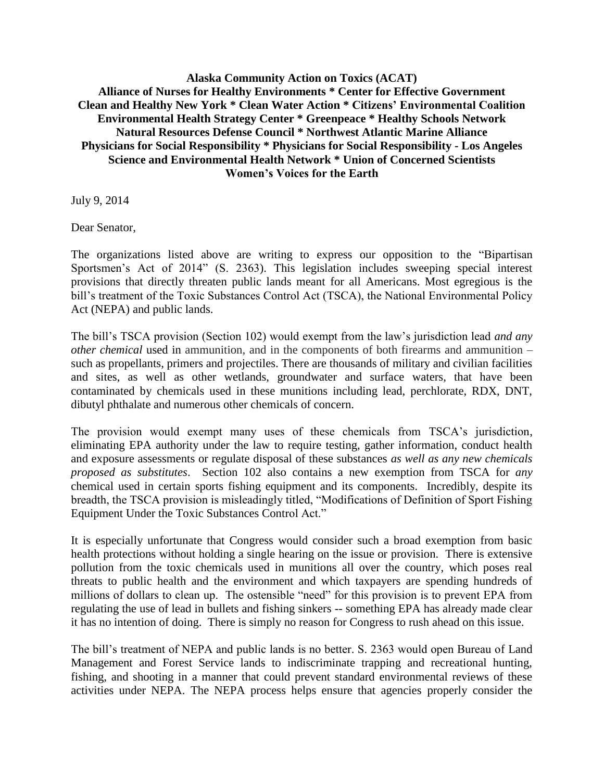**Alaska Community Action on Toxics (ACAT) Alliance of Nurses for Healthy Environments \* Center for Effective Government Clean and Healthy New York \* Clean Water Action \* Citizens' Environmental Coalition Environmental Health Strategy Center \* Greenpeace \* Healthy Schools Network Natural Resources Defense Council \* Northwest Atlantic Marine Alliance Physicians for Social Responsibility \* Physicians for Social Responsibility - Los Angeles Science and Environmental Health Network \* Union of Concerned Scientists Women's Voices for the Earth**

July 9, 2014

Dear Senator,

The organizations listed above are writing to express our opposition to the "Bipartisan Sportsmen's Act of 2014" (S. 2363). This legislation includes sweeping special interest provisions that directly threaten public lands meant for all Americans. Most egregious is the bill's treatment of the Toxic Substances Control Act (TSCA), the National Environmental Policy Act (NEPA) and public lands.

The bill's TSCA provision (Section 102) would exempt from the law's jurisdiction lead *and any other chemical* used in ammunition, and in the components of both firearms and ammunition – such as propellants, primers and projectiles. There are thousands of military and civilian facilities and sites, as well as other wetlands, groundwater and surface waters, that have been contaminated by chemicals used in these munitions including lead, perchlorate, RDX, DNT, dibutyl phthalate and numerous other chemicals of concern.

The provision would exempt many uses of these chemicals from TSCA's jurisdiction, eliminating EPA authority under the law to require testing, gather information, conduct health and exposure assessments or regulate disposal of these substances *as well as any new chemicals proposed as substitutes*. Section 102 also contains a new exemption from TSCA for *any* chemical used in certain sports fishing equipment and its components. Incredibly, despite its breadth, the TSCA provision is misleadingly titled, "Modifications of Definition of Sport Fishing Equipment Under the Toxic Substances Control Act."

It is especially unfortunate that Congress would consider such a broad exemption from basic health protections without holding a single hearing on the issue or provision. There is extensive pollution from the toxic chemicals used in munitions all over the country, which poses real threats to public health and the environment and which taxpayers are spending hundreds of millions of dollars to clean up. The ostensible "need" for this provision is to prevent EPA from regulating the use of lead in bullets and fishing sinkers -- something EPA has already made clear it has no intention of doing. There is simply no reason for Congress to rush ahead on this issue.

The bill's treatment of NEPA and public lands is no better. S. 2363 would open Bureau of Land Management and Forest Service lands to indiscriminate trapping and recreational hunting, fishing, and shooting in a manner that could prevent standard environmental reviews of these activities under NEPA. The NEPA process helps ensure that agencies properly consider the